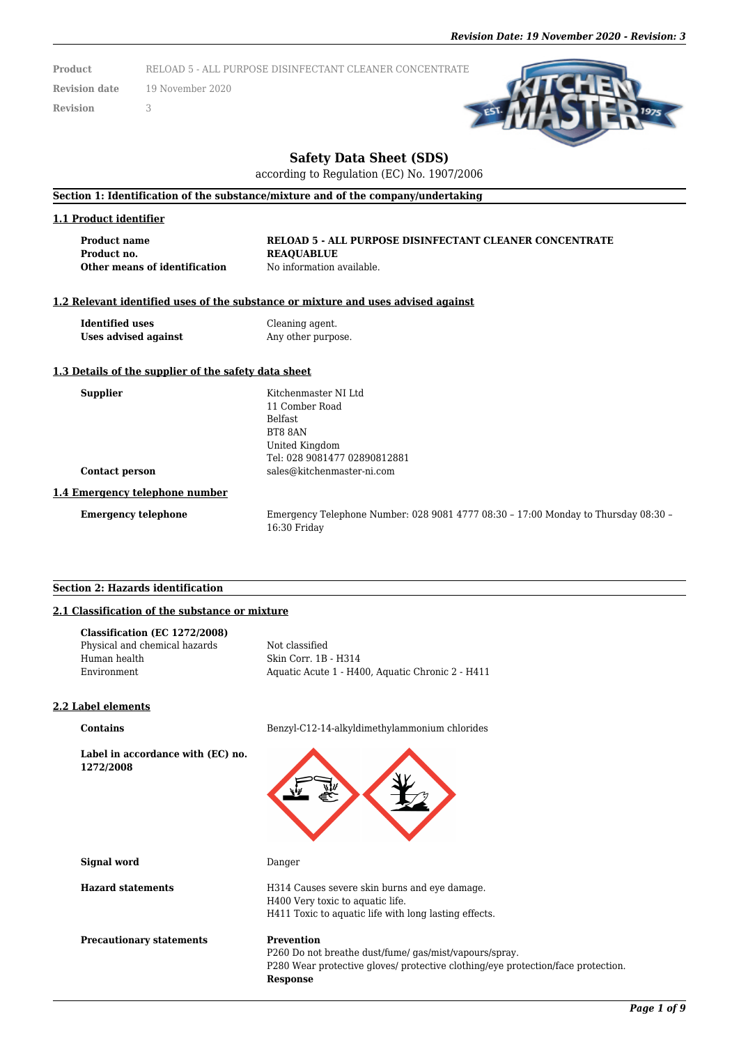**Product** RELOAD 5 - ALL PURPOSE DISINFECTANT CLEANER CONCENTRATE

**Revision date** 19 November 2020

**Revision** 3



# **Safety Data Sheet (SDS)**

according to Regulation (EC) No. 1907/2006

## **Section 1: Identification of the substance/mixture and of the company/undertaking**

#### **1.1 Product identifier**

**Product name RELOAD 5 - ALL PURPOSE DISINFECTANT CLEANER CONCENTRATE Product no. REAQUABLUE Other means of identification** No information available.

## **1.2 Relevant identified uses of the substance or mixture and uses advised against**

**Identified uses** Cleaning agent. **Uses advised against** Any other purpose.

## **1.3 Details of the supplier of the safety data sheet**

**Supplier** Kitchenmaster NI Ltd 11 Comber Road Belfast BT8 8AN United Kingdom Tel: 028 9081477 02890812881 **Contact person** sales@kitchenmaster-ni.com

#### **1.4 Emergency telephone number**

**Emergency telephone** Emergency Telephone Number: 028 9081 4777 08:30 – 17:00 Monday to Thursday 08:30 – 16:30 Friday

### **Section 2: Hazards identification**

## **2.1 Classification of the substance or mixture**

**Label in accordance with (EC) no.**

| Classification (EC 1272/2008) |                                                  |
|-------------------------------|--------------------------------------------------|
| Physical and chemical hazards | Not classified                                   |
| Human health                  | Skin Corr. 1B - H314                             |
| Environment                   | Aquatic Acute 1 - H400, Aquatic Chronic 2 - H411 |
|                               |                                                  |

#### **2.2 Label elements**

**1272/2008**

**Contains** Benzyl-C12-14-alkyldimethylammonium chlorides

H411 Toxic to aquatic life with long lasting effects.



H400 Very toxic to aquatic life.

**Signal word** Danger

**Hazard statements** H314 Causes severe skin burns and eye damage.

**Precautionary statements Prevention** 

P260 Do not breathe dust/fume/ gas/mist/vapours/spray. P280 Wear protective gloves/ protective clothing/eye protection/face protection. **Response**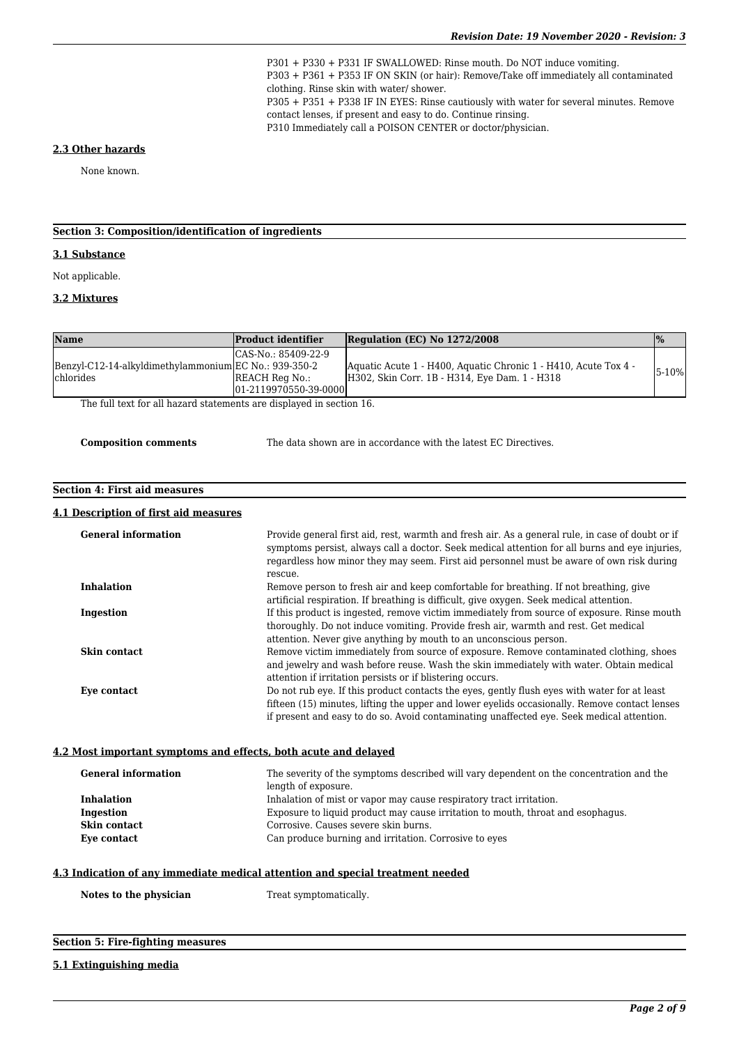P301 + P330 + P331 IF SWALLOWED: Rinse mouth. Do NOT induce vomiting. P303 + P361 + P353 IF ON SKIN (or hair): Remove/Take off immediately all contaminated clothing. Rinse skin with water/ shower. P305 + P351 + P338 IF IN EYES: Rinse cautiously with water for several minutes. Remove contact lenses, if present and easy to do. Continue rinsing. P310 Immediately call a POISON CENTER or doctor/physician.

#### **2.3 Other hazards**

None known.

## **Section 3: Composition/identification of ingredients**

## **3.1 Substance**

Not applicable.

## **3.2 Mixtures**

| $ICAS-No.: 85409-22-9$<br>Benzyl-C12-14-alkyldimethylammonium EC No.: 939-350-2<br>Aquatic Acute 1 - H400, Aquatic Chronic 1 - H410, Acute Tox 4 -<br>5-10%<br>H302, Skin Corr. 1B - H314, Eye Dam. 1 - H318<br><b>IREACH Reg No.:</b><br>101-2119970550-39-00001 | Name       | <b>Product identifier</b> | Regulation (EC) No 1272/2008 | $\frac{9}{6}$ |
|-------------------------------------------------------------------------------------------------------------------------------------------------------------------------------------------------------------------------------------------------------------------|------------|---------------------------|------------------------------|---------------|
|                                                                                                                                                                                                                                                                   | lchlorides |                           |                              |               |

The full text for all hazard statements are displayed in section 16.

The data shown are in accordance with the latest EC Directives.

#### **Section 4: First aid measures**

#### **4.1 Description of first aid measures**

| <b>General information</b>                                      | Provide general first aid, rest, warmth and fresh air. As a general rule, in case of doubt or if<br>symptoms persist, always call a doctor. Seek medical attention for all burns and eye injuries,<br>regardless how minor they may seem. First aid personnel must be aware of own risk during<br>rescue.           |  |
|-----------------------------------------------------------------|---------------------------------------------------------------------------------------------------------------------------------------------------------------------------------------------------------------------------------------------------------------------------------------------------------------------|--|
| <b>Inhalation</b>                                               | Remove person to fresh air and keep comfortable for breathing. If not breathing, give                                                                                                                                                                                                                               |  |
|                                                                 | artificial respiration. If breathing is difficult, give oxygen. Seek medical attention.                                                                                                                                                                                                                             |  |
| Ingestion                                                       | If this product is ingested, remove victim immediately from source of exposure. Rinse mouth<br>thoroughly. Do not induce vomiting. Provide fresh air, warmth and rest. Get medical                                                                                                                                  |  |
| Skin contact                                                    | attention. Never give anything by mouth to an unconscious person.<br>Remove victim immediately from source of exposure. Remove contaminated clothing, shoes<br>and jewelry and wash before reuse. Wash the skin immediately with water. Obtain medical<br>attention if irritation persists or if blistering occurs. |  |
| Eye contact                                                     | Do not rub eye. If this product contacts the eyes, gently flush eyes with water for at least<br>fifteen (15) minutes, lifting the upper and lower eyelids occasionally. Remove contact lenses<br>if present and easy to do so. Avoid contaminating unaffected eye. Seek medical attention.                          |  |
| 4.2 Most important symptoms and effects, both acute and delayed |                                                                                                                                                                                                                                                                                                                     |  |
|                                                                 | 로마 나는 아이들 것이 아니라 나는 아이들이 아니다. 제 아이들에 나서 그러한 아이들이 제 아이들에 다 아니라 아이들이 아니라 아이들이 아니라 데 아니라                                                                                                                                                                                                                               |  |

## **General information** The severity of the symptoms described will vary dependent on the concentration and the length of exposure. **Inhalation** Inhalation Inhalation of mist or vapor may cause respiratory tract irritation.<br> **Indestion** Exposure to liquid product may cause irritation to mouth, throat a Exposure to liquid product may cause irritation to mouth, throat and esophagus. **Skin contact** Corrosive. Causes severe skin burns. **Eye contact** Can produce burning and irritation. Corrosive to eyes

## **4.3 Indication of any immediate medical attention and special treatment needed**

Notes to the physician Treat symptomatically.

## **Section 5: Fire-fighting measures**

#### **5.1 Extinguishing media**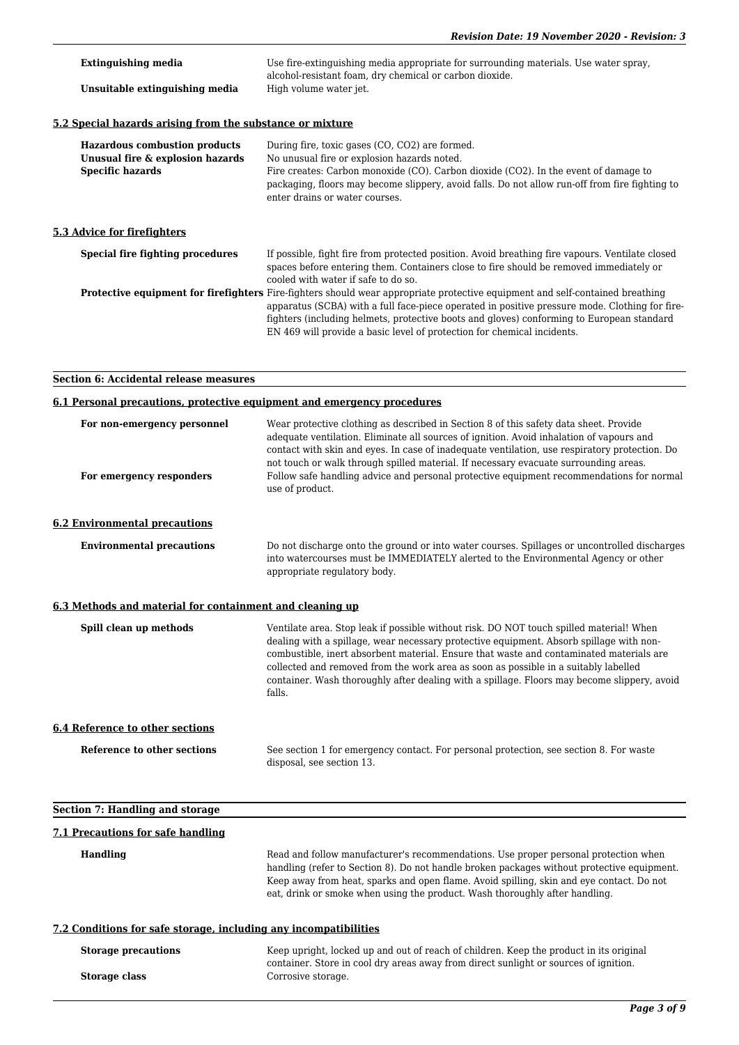| <b>Extinguishing media</b><br>Unsuitable extinguishing media                                        | Use fire-extinguishing media appropriate for surrounding materials. Use water spray,<br>alcohol-resistant foam, dry chemical or carbon dioxide.<br>High volume water jet.                                                                                                                                                                                                                               |  |
|-----------------------------------------------------------------------------------------------------|---------------------------------------------------------------------------------------------------------------------------------------------------------------------------------------------------------------------------------------------------------------------------------------------------------------------------------------------------------------------------------------------------------|--|
| 5.2 Special hazards arising from the substance or mixture                                           |                                                                                                                                                                                                                                                                                                                                                                                                         |  |
| <b>Hazardous combustion products</b><br>Unusual fire & explosion hazards<br><b>Specific hazards</b> | During fire, toxic gases (CO, CO2) are formed.<br>No unusual fire or explosion hazards noted.<br>Fire creates: Carbon monoxide (CO). Carbon dioxide (CO2). In the event of damage to<br>packaging, floors may become slippery, avoid falls. Do not allow run-off from fire fighting to<br>enter drains or water courses.                                                                                |  |
| 5.3 Advice for firefighters                                                                         |                                                                                                                                                                                                                                                                                                                                                                                                         |  |
| <b>Special fire fighting procedures</b>                                                             | If possible, fight fire from protected position. Avoid breathing fire vapours. Ventilate closed<br>spaces before entering them. Containers close to fire should be removed immediately or<br>cooled with water if safe to do so.                                                                                                                                                                        |  |
|                                                                                                     | Protective equipment for firefighters Fire-fighters should wear appropriate protective equipment and self-contained breathing<br>apparatus (SCBA) with a full face-piece operated in positive pressure mode. Clothing for fire-<br>fighters (including helmets, protective boots and gloves) conforming to European standard<br>EN 469 will provide a basic level of protection for chemical incidents. |  |
| <b>Section 6: Accidental release measures</b>                                                       |                                                                                                                                                                                                                                                                                                                                                                                                         |  |
| 6.1 Personal precautions, protective equipment and emergency procedures                             |                                                                                                                                                                                                                                                                                                                                                                                                         |  |

| For non-emergency personnel<br>For emergency responders          | Wear protective clothing as described in Section 8 of this safety data sheet. Provide<br>adequate ventilation. Eliminate all sources of ignition. Avoid inhalation of vapours and<br>contact with skin and eyes. In case of inadequate ventilation, use respiratory protection. Do<br>not touch or walk through spilled material. If necessary evacuate surrounding areas.<br>Follow safe handling advice and personal protective equipment recommendations for normal<br>use of product. |
|------------------------------------------------------------------|-------------------------------------------------------------------------------------------------------------------------------------------------------------------------------------------------------------------------------------------------------------------------------------------------------------------------------------------------------------------------------------------------------------------------------------------------------------------------------------------|
| <b>6.2 Environmental precautions</b>                             |                                                                                                                                                                                                                                                                                                                                                                                                                                                                                           |
| <b>Environmental precautions</b>                                 | Do not discharge onto the ground or into water courses. Spillages or uncontrolled discharges<br>into watercourses must be IMMEDIATELY alerted to the Environmental Agency or other<br>appropriate regulatory body.                                                                                                                                                                                                                                                                        |
| 6.3 Methods and material for containment and cleaning up         |                                                                                                                                                                                                                                                                                                                                                                                                                                                                                           |
| Spill clean up methods                                           | Ventilate area. Stop leak if possible without risk. DO NOT touch spilled material! When<br>dealing with a spillage, wear necessary protective equipment. Absorb spillage with non-<br>combustible, inert absorbent material. Ensure that waste and contaminated materials are<br>collected and removed from the work area as soon as possible in a suitably labelled<br>container. Wash thoroughly after dealing with a spillage. Floors may become slippery, avoid<br>falls.             |
| <b>6.4 Reference to other sections</b>                           |                                                                                                                                                                                                                                                                                                                                                                                                                                                                                           |
| Reference to other sections                                      | See section 1 for emergency contact. For personal protection, see section 8. For waste<br>disposal, see section 13.                                                                                                                                                                                                                                                                                                                                                                       |
| <b>Section 7: Handling and storage</b>                           |                                                                                                                                                                                                                                                                                                                                                                                                                                                                                           |
| 7.1 Precautions for safe handling                                |                                                                                                                                                                                                                                                                                                                                                                                                                                                                                           |
| <b>Handling</b>                                                  | Read and follow manufacturer's recommendations. Use proper personal protection when<br>handling (refer to Section 8). Do not handle broken packages without protective equipment.<br>Keep away from heat, sparks and open flame. Avoid spilling, skin and eye contact. Do not<br>eat, drink or smoke when using the product. Wash thoroughly after handling.                                                                                                                              |
| 7.2 Conditions for safe storage, including any incompatibilities |                                                                                                                                                                                                                                                                                                                                                                                                                                                                                           |
| <b>Storage precautions</b>                                       | Keep upright, locked up and out of reach of children. Keep the product in its original<br>container. Store in cool dry areas away from direct sunlight or sources of ignition.                                                                                                                                                                                                                                                                                                            |
| <b>Storage class</b>                                             | Corrosive storage.                                                                                                                                                                                                                                                                                                                                                                                                                                                                        |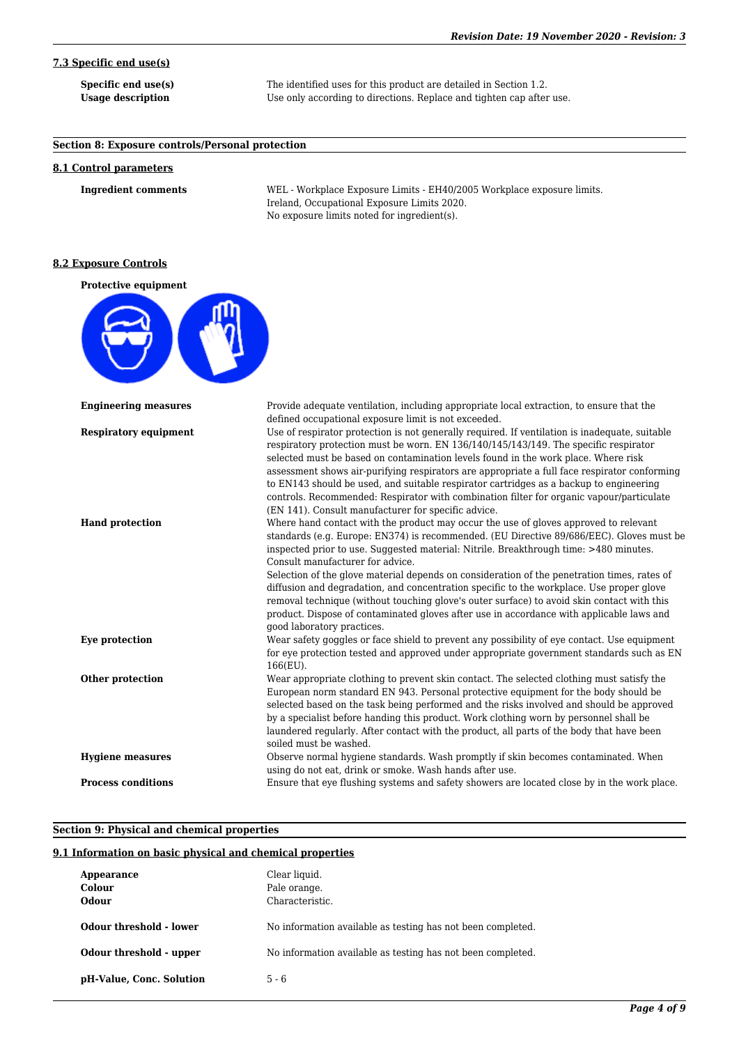# **7.3 Specific end use(s)**

**Specific end use(s)** The identified uses for this product are detailed in Section 1.2. Usage description Use only according to directions. Replace and tighten cap after use.

## **Section 8: Exposure controls/Personal protection**

## **8.1 Control parameters**

**Ingredient comments** WEL - Workplace Exposure Limits - EH40/2005 Workplace exposure limits. Ireland, Occupational Exposure Limits 2020. No exposure limits noted for ingredient(s).

## **8.2 Exposure Controls**

**Protective equipment**



| <b>Engineering measures</b>  | Provide adequate ventilation, including appropriate local extraction, to ensure that the<br>defined occupational exposure limit is not exceeded.                                                                                                                                                                                                                                                                                                                                                                                                                                                                                                                                                                                 |
|------------------------------|----------------------------------------------------------------------------------------------------------------------------------------------------------------------------------------------------------------------------------------------------------------------------------------------------------------------------------------------------------------------------------------------------------------------------------------------------------------------------------------------------------------------------------------------------------------------------------------------------------------------------------------------------------------------------------------------------------------------------------|
| <b>Respiratory equipment</b> | Use of respirator protection is not generally required. If ventilation is inadequate, suitable<br>respiratory protection must be worn. EN 136/140/145/143/149. The specific respirator<br>selected must be based on contamination levels found in the work place. Where risk<br>assessment shows air-purifying respirators are appropriate a full face respirator conforming<br>to EN143 should be used, and suitable respirator cartridges as a backup to engineering<br>controls. Recommended: Respirator with combination filter for organic vapour/particulate<br>(EN 141). Consult manufacturer for specific advice.                                                                                                        |
| <b>Hand protection</b>       | Where hand contact with the product may occur the use of gloves approved to relevant<br>standards (e.g. Europe: EN374) is recommended. (EU Directive 89/686/EEC). Gloves must be<br>inspected prior to use. Suggested material: Nitrile. Breakthrough time: >480 minutes.<br>Consult manufacturer for advice.<br>Selection of the glove material depends on consideration of the penetration times, rates of<br>diffusion and degradation, and concentration specific to the workplace. Use proper glove<br>removal technique (without touching glove's outer surface) to avoid skin contact with this<br>product. Dispose of contaminated gloves after use in accordance with applicable laws and<br>good laboratory practices. |
| Eve protection               | Wear safety goggles or face shield to prevent any possibility of eye contact. Use equipment<br>for eve protection tested and approved under appropriate government standards such as EN<br>166(EU).                                                                                                                                                                                                                                                                                                                                                                                                                                                                                                                              |
| Other protection             | Wear appropriate clothing to prevent skin contact. The selected clothing must satisfy the<br>European norm standard EN 943. Personal protective equipment for the body should be<br>selected based on the task being performed and the risks involved and should be approved<br>by a specialist before handing this product. Work clothing worn by personnel shall be<br>laundered regularly. After contact with the product, all parts of the body that have been<br>soiled must be washed.                                                                                                                                                                                                                                     |
| <b>Hygiene measures</b>      | Observe normal hygiene standards. Wash promptly if skin becomes contaminated. When<br>using do not eat, drink or smoke. Wash hands after use.                                                                                                                                                                                                                                                                                                                                                                                                                                                                                                                                                                                    |
| <b>Process conditions</b>    | Ensure that eye flushing systems and safety showers are located close by in the work place.                                                                                                                                                                                                                                                                                                                                                                                                                                                                                                                                                                                                                                      |

## **Section 9: Physical and chemical properties**

## **9.1 Information on basic physical and chemical properties**

| Appearance<br>Colour<br><b>Odour</b> | Clear liquid.<br>Pale orange.<br>Characteristic.            |
|--------------------------------------|-------------------------------------------------------------|
| Odour threshold - lower              | No information available as testing has not been completed. |
| Odour threshold - upper              | No information available as testing has not been completed. |
| pH-Value, Conc. Solution             | $5 - 6$                                                     |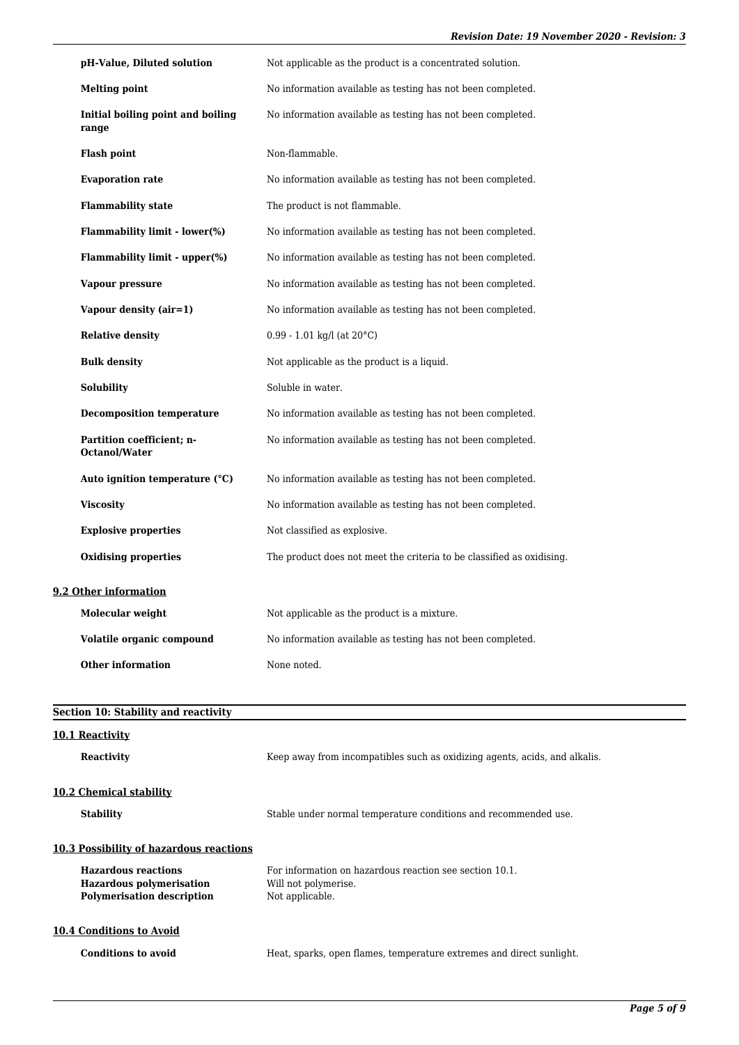| pH-Value, Diluted solution                        | Not applicable as the product is a concentrated solution.             |  |
|---------------------------------------------------|-----------------------------------------------------------------------|--|
| <b>Melting point</b>                              | No information available as testing has not been completed.           |  |
| Initial boiling point and boiling<br>range        | No information available as testing has not been completed.           |  |
| <b>Flash point</b>                                | Non-flammable.                                                        |  |
| <b>Evaporation rate</b>                           | No information available as testing has not been completed.           |  |
| <b>Flammability state</b>                         | The product is not flammable.                                         |  |
| <b>Flammability limit - lower(%)</b>              | No information available as testing has not been completed.           |  |
| Flammability limit - upper(%)                     | No information available as testing has not been completed.           |  |
| Vapour pressure                                   | No information available as testing has not been completed.           |  |
| Vapour density (air=1)                            | No information available as testing has not been completed.           |  |
| <b>Relative density</b>                           | $0.99 - 1.01$ kg/l (at $20^{\circ}$ C)                                |  |
| <b>Bulk density</b>                               | Not applicable as the product is a liquid.                            |  |
| Solubility                                        | Soluble in water.                                                     |  |
| <b>Decomposition temperature</b>                  | No information available as testing has not been completed.           |  |
| Partition coefficient; n-<br><b>Octanol/Water</b> | No information available as testing has not been completed.           |  |
| Auto ignition temperature (°C)                    | No information available as testing has not been completed.           |  |
| <b>Viscosity</b>                                  | No information available as testing has not been completed.           |  |
| <b>Explosive properties</b>                       | Not classified as explosive.                                          |  |
| <b>Oxidising properties</b>                       | The product does not meet the criteria to be classified as oxidising. |  |
| 9.2 Other information                             |                                                                       |  |
| Molecular weight                                  | Not applicable as the product is a mixture.                           |  |
| Volatile organic compound                         | No information available as testing has not been completed.           |  |
| <b>Other information</b>                          | None noted.                                                           |  |
| Section 10: Stability and reactivity              |                                                                       |  |

| 10.1 Reactivity<br><b>Reactivity</b>                                                                                                                 | Keep away from incompatibles such as oxidizing agents, acids, and alkalis.                         |
|------------------------------------------------------------------------------------------------------------------------------------------------------|----------------------------------------------------------------------------------------------------|
| 10.2 Chemical stability<br><b>Stability</b>                                                                                                          | Stable under normal temperature conditions and recommended use.                                    |
| <b>10.3 Possibility of hazardous reactions</b><br><b>Hazardous reactions</b><br><b>Hazardous polymerisation</b><br><b>Polymerisation description</b> | For information on hazardous reaction see section 10.1.<br>Will not polymerise.<br>Not applicable. |
| 10.4 Conditions to Avoid<br><b>Conditions to avoid</b>                                                                                               | Heat, sparks, open flames, temperature extremes and direct sunlight.                               |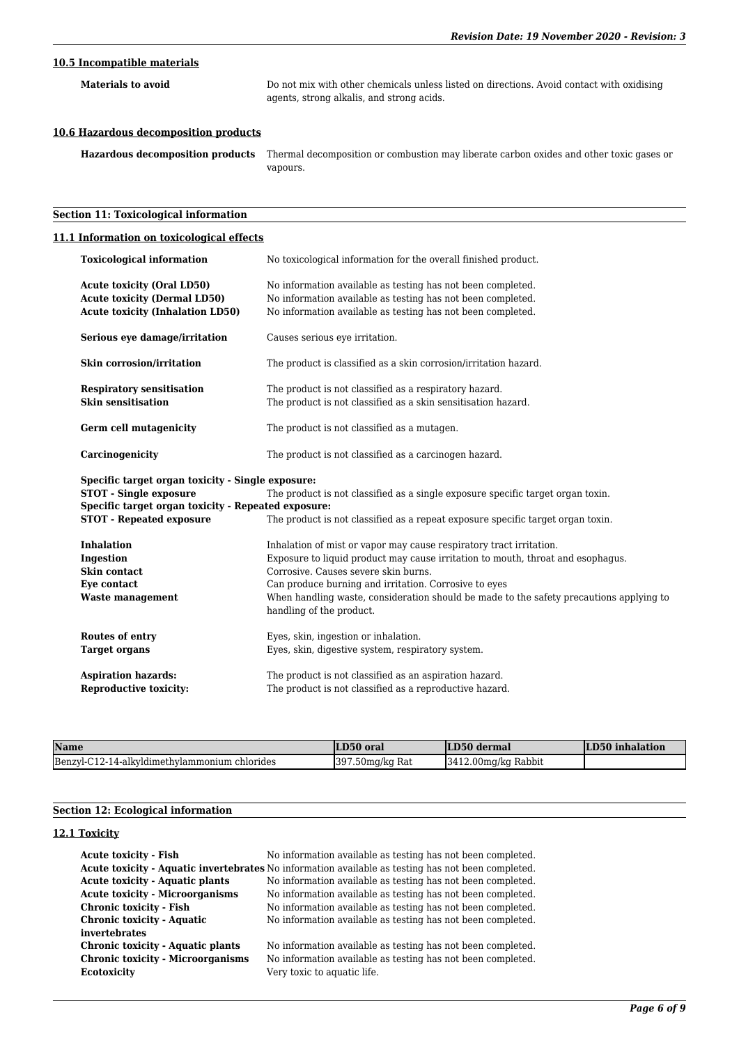# **10.5 Incompatible materials**

**Materials to avoid** Do not mix with other chemicals unless listed on directions. Avoid contact with oxidising agents, strong alkalis, and strong acids.

## **10.6 Hazardous decomposition products**

**Hazardous decomposition products** Thermal decomposition or combustion may liberate carbon oxides and other toxic gases or vapours.

# **Section 11: Toxicological information**

## **11.1 Information on toxicological effects**

| <b>Toxicological information</b>                                                                                                                                             | No toxicological information for the overall finished product.                                                                                                                                                                                                                                                                                                                 |  |  |
|------------------------------------------------------------------------------------------------------------------------------------------------------------------------------|--------------------------------------------------------------------------------------------------------------------------------------------------------------------------------------------------------------------------------------------------------------------------------------------------------------------------------------------------------------------------------|--|--|
| <b>Acute toxicity (Oral LD50)</b><br><b>Acute toxicity (Dermal LD50)</b><br><b>Acute toxicity (Inhalation LD50)</b>                                                          | No information available as testing has not been completed.<br>No information available as testing has not been completed.<br>No information available as testing has not been completed.                                                                                                                                                                                      |  |  |
| Serious eye damage/irritation                                                                                                                                                | Causes serious eye irritation.                                                                                                                                                                                                                                                                                                                                                 |  |  |
| Skin corrosion/irritation                                                                                                                                                    | The product is classified as a skin corrosion/irritation hazard.                                                                                                                                                                                                                                                                                                               |  |  |
| <b>Respiratory sensitisation</b><br><b>Skin sensitisation</b>                                                                                                                | The product is not classified as a respiratory hazard.<br>The product is not classified as a skin sensitisation hazard.                                                                                                                                                                                                                                                        |  |  |
| Germ cell mutagenicity                                                                                                                                                       | The product is not classified as a mutagen.                                                                                                                                                                                                                                                                                                                                    |  |  |
| Carcinogenicity                                                                                                                                                              | The product is not classified as a carcinogen hazard.                                                                                                                                                                                                                                                                                                                          |  |  |
| Specific target organ toxicity - Single exposure:<br><b>STOT - Single exposure</b><br>Specific target organ toxicity - Repeated exposure:<br><b>STOT - Repeated exposure</b> | The product is not classified as a single exposure specific target organ toxin.<br>The product is not classified as a repeat exposure specific target organ toxin.                                                                                                                                                                                                             |  |  |
| <b>Inhalation</b><br>Ingestion<br>Skin contact<br>Eye contact<br><b>Waste management</b>                                                                                     | Inhalation of mist or vapor may cause respiratory tract irritation.<br>Exposure to liquid product may cause irritation to mouth, throat and esophagus.<br>Corrosive. Causes severe skin burns.<br>Can produce burning and irritation. Corrosive to eyes<br>When handling waste, consideration should be made to the safety precautions applying to<br>handling of the product. |  |  |
| Routes of entry<br><b>Target organs</b>                                                                                                                                      | Eyes, skin, ingestion or inhalation.<br>Eyes, skin, digestive system, respiratory system.                                                                                                                                                                                                                                                                                      |  |  |
| <b>Aspiration hazards:</b><br><b>Reproductive toxicity:</b>                                                                                                                  | The product is not classified as an aspiration hazard.<br>The product is not classified as a reproductive hazard.                                                                                                                                                                                                                                                              |  |  |

| Name                                             | LD50 oral                              | LD50 dermal            | LD50 inhalation |
|--------------------------------------------------|----------------------------------------|------------------------|-----------------|
| Benzyl-C12-14-alkyldimethylammonium<br>chlorides | 397.50 <sub>mg</sub> /kg <sub>at</sub> | $3412.00$ mg/kg Rabbit |                 |

# **Section 12: Ecological information**

## **12.1 Toxicity**

| <b>Acute toxicity - Fish</b>             | No information available as testing has not been completed.                                        |
|------------------------------------------|----------------------------------------------------------------------------------------------------|
|                                          | Acute toxicity - Aquatic invertebrates No information available as testing has not been completed. |
| <b>Acute toxicity - Aquatic plants</b>   | No information available as testing has not been completed.                                        |
| <b>Acute toxicity - Microorganisms</b>   | No information available as testing has not been completed.                                        |
| Chronic toxicity - Fish                  | No information available as testing has not been completed.                                        |
| <b>Chronic toxicity - Aquatic</b>        | No information available as testing has not been completed.                                        |
| invertebrates                            |                                                                                                    |
| Chronic toxicity - Aquatic plants        | No information available as testing has not been completed.                                        |
| <b>Chronic toxicity - Microorganisms</b> | No information available as testing has not been completed.                                        |
| <b>Ecotoxicity</b>                       | Very toxic to aquatic life.                                                                        |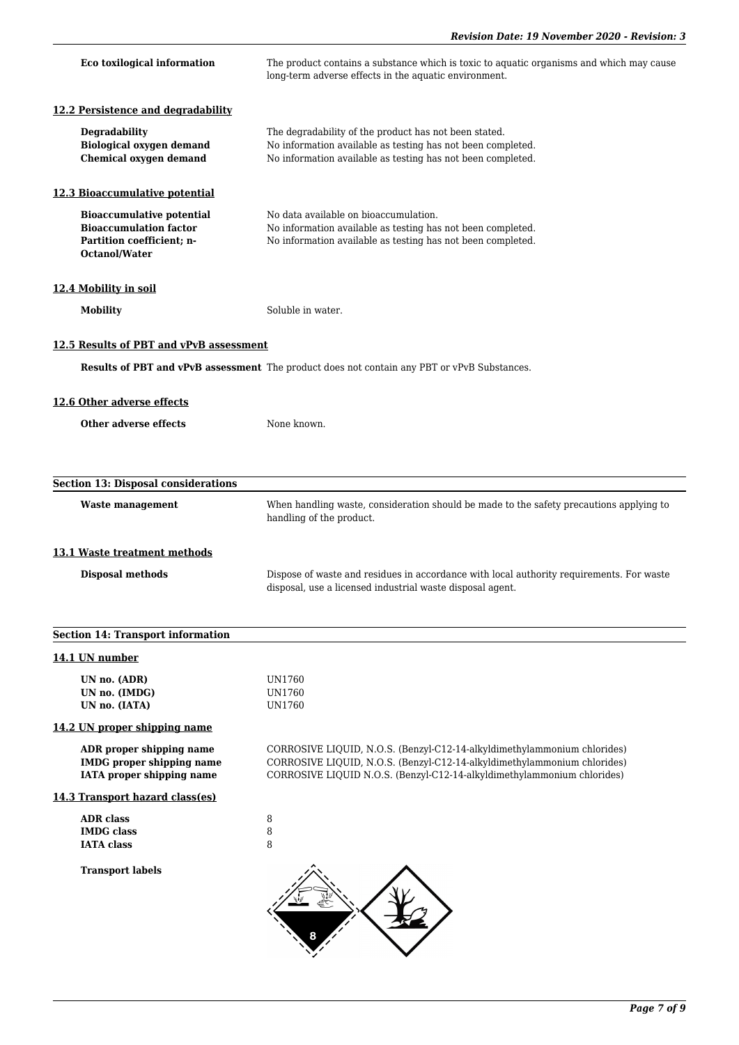| Eco toxilogical information                                                                                     | The product contains a substance which is toxic to aquatic organisms and which may cause<br>long-term adverse effects in the aquatic environment.                                                                               |
|-----------------------------------------------------------------------------------------------------------------|---------------------------------------------------------------------------------------------------------------------------------------------------------------------------------------------------------------------------------|
| 12.2 Persistence and degradability                                                                              |                                                                                                                                                                                                                                 |
| <b>Degradability</b><br><b>Biological oxygen demand</b><br><b>Chemical oxygen demand</b>                        | The degradability of the product has not been stated.<br>No information available as testing has not been completed.<br>No information available as testing has not been completed.                                             |
| 12.3 Bioaccumulative potential                                                                                  |                                                                                                                                                                                                                                 |
| <b>Bioaccumulative potential</b><br><b>Bioaccumulation factor</b><br>Partition coefficient; n-<br>Octanol/Water | No data available on bioaccumulation.<br>No information available as testing has not been completed.<br>No information available as testing has not been completed.                                                             |
| 12.4 Mobility in soil                                                                                           |                                                                                                                                                                                                                                 |
| <b>Mobility</b>                                                                                                 | Soluble in water.                                                                                                                                                                                                               |
| 12.5 Results of PBT and vPvB assessment                                                                         |                                                                                                                                                                                                                                 |
|                                                                                                                 | Results of PBT and vPvB assessment The product does not contain any PBT or vPvB Substances.                                                                                                                                     |
| 12.6 Other adverse effects                                                                                      |                                                                                                                                                                                                                                 |
| Other adverse effects                                                                                           | None known.                                                                                                                                                                                                                     |
|                                                                                                                 |                                                                                                                                                                                                                                 |
| <b>Section 13: Disposal considerations</b>                                                                      |                                                                                                                                                                                                                                 |
| <b>Waste management</b>                                                                                         | When handling waste, consideration should be made to the safety precautions applying to<br>handling of the product.                                                                                                             |
| 13.1 Waste treatment methods                                                                                    |                                                                                                                                                                                                                                 |
| <b>Disposal methods</b>                                                                                         | Dispose of waste and residues in accordance with local authority requirements. For waste<br>disposal, use a licensed industrial waste disposal agent.                                                                           |
| <b>Section 14: Transport information</b>                                                                        |                                                                                                                                                                                                                                 |
| 14.1 UN number                                                                                                  |                                                                                                                                                                                                                                 |
| UN no. (ADR)<br>UN no. (IMDG)<br>UN no. (IATA)                                                                  | UN1760<br>UN1760<br>UN1760                                                                                                                                                                                                      |
| 14.2 UN proper shipping name                                                                                    |                                                                                                                                                                                                                                 |
| ADR proper shipping name<br><b>IMDG</b> proper shipping name<br><b>IATA</b> proper shipping name                | CORROSIVE LIQUID, N.O.S. (Benzyl-C12-14-alkyldimethylammonium chlorides)<br>CORROSIVE LIQUID, N.O.S. (Benzyl-C12-14-alkyldimethylammonium chlorides)<br>CORROSIVE LIQUID N.O.S. (Benzyl-C12-14-alkyldimethylammonium chlorides) |
| 14.3 Transport hazard class(es)                                                                                 |                                                                                                                                                                                                                                 |
| <b>ADR</b> class<br><b>IMDG</b> class<br><b>IATA</b> class                                                      | 8<br>8<br>8                                                                                                                                                                                                                     |
| <b>Transport labels</b>                                                                                         |                                                                                                                                                                                                                                 |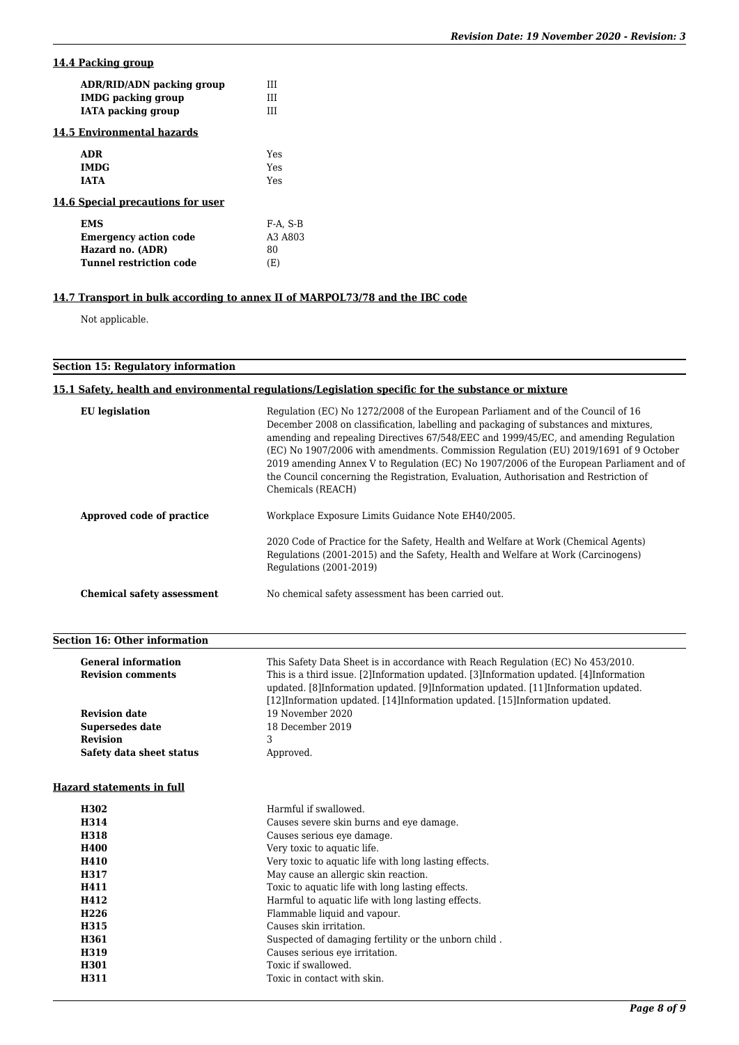# **14.4 Packing group**

| ADR/RID/ADN packing group         | ш                                |
|-----------------------------------|----------------------------------|
| <b>IMDG</b> packing group         | ш                                |
| <b>IATA</b> packing group         | ш                                |
| 14.5 Environmental hazards        |                                  |
| <b>ADR</b>                        | Yes                              |
| <b>IMDG</b>                       | Yes                              |
| <b>IATA</b>                       | Yes                              |
| 14.6 Special precautions for user |                                  |
| <b>EMS</b>                        | $F-A. S-B$                       |
| <b>Emergency action code</b>      | A <sub>3</sub> A <sub>80</sub> 3 |
| Hazard no. (ADR)                  | 80                               |
| <b>Tunnel restriction code</b>    | (E)                              |
|                                   |                                  |

# **14.7 Transport in bulk according to annex II of MARPOL73/78 and the IBC code**

Not applicable.

# **Section 15: Regulatory information**

# **15.1 Safety, health and environmental regulations/Legislation specific for the substance or mixture**

| <b>EU</b> legislation             | Regulation (EC) No 1272/2008 of the European Parliament and of the Council of 16<br>December 2008 on classification, labelling and packaging of substances and mixtures,<br>amending and repealing Directives 67/548/EEC and 1999/45/EC, and amending Regulation<br>(EC) No 1907/2006 with amendments. Commission Regulation (EU) 2019/1691 of 9 October<br>2019 amending Annex V to Regulation (EC) No 1907/2006 of the European Parliament and of<br>the Council concerning the Registration, Evaluation, Authorisation and Restriction of<br>Chemicals (REACH) |
|-----------------------------------|-------------------------------------------------------------------------------------------------------------------------------------------------------------------------------------------------------------------------------------------------------------------------------------------------------------------------------------------------------------------------------------------------------------------------------------------------------------------------------------------------------------------------------------------------------------------|
| Approved code of practice         | Workplace Exposure Limits Guidance Note EH40/2005.                                                                                                                                                                                                                                                                                                                                                                                                                                                                                                                |
|                                   | 2020 Code of Practice for the Safety, Health and Welfare at Work (Chemical Agents)<br>Regulations (2001-2015) and the Safety, Health and Welfare at Work (Carcinogens)<br>Regulations (2001-2019)                                                                                                                                                                                                                                                                                                                                                                 |
| <b>Chemical safety assessment</b> | No chemical safety assessment has been carried out.                                                                                                                                                                                                                                                                                                                                                                                                                                                                                                               |

# **Section 16: Other information**

| <b>General information</b> | This Safety Data Sheet is in accordance with Reach Regulation (EC) No 453/2010.                                                                                                  |
|----------------------------|----------------------------------------------------------------------------------------------------------------------------------------------------------------------------------|
| <b>Revision comments</b>   | This is a third issue. [2] Information updated. [3] Information updated. [4] Information<br>updated. [8] Information updated. [9] Information updated. [11] Information updated. |
|                            | [12] Information updated. [14] Information updated. [15] Information updated.                                                                                                    |
| <b>Revision date</b>       | 19 November 2020                                                                                                                                                                 |
| <b>Supersedes date</b>     | 18 December 2019                                                                                                                                                                 |
| <b>Revision</b>            | 3                                                                                                                                                                                |
| Safety data sheet status   | Approved.                                                                                                                                                                        |
| Hazard statements in full  |                                                                                                                                                                                  |
| H302                       | Harmful if swallowed.                                                                                                                                                            |
| H314                       | Causes severe skin burns and eye damage.                                                                                                                                         |
| H318                       | Causes serious eye damage.                                                                                                                                                       |
| H400                       | Very toxic to aquatic life.                                                                                                                                                      |
| H410                       | Very toxic to aquatic life with long lasting effects.                                                                                                                            |
| H317                       | May cause an allergic skin reaction.                                                                                                                                             |
| H411                       | Toxic to aquatic life with long lasting effects.                                                                                                                                 |
| H412                       | Harmful to aquatic life with long lasting effects.                                                                                                                               |
| H <sub>226</sub>           | Flammable liquid and vapour.                                                                                                                                                     |
| H315                       | Causes skin irritation.                                                                                                                                                          |
| H361                       | Suspected of damaging fertility or the unborn child.                                                                                                                             |
| H319                       | Causes serious eye irritation.                                                                                                                                                   |
| H301                       | Toxic if swallowed.                                                                                                                                                              |
| H311                       | Toxic in contact with skin.                                                                                                                                                      |